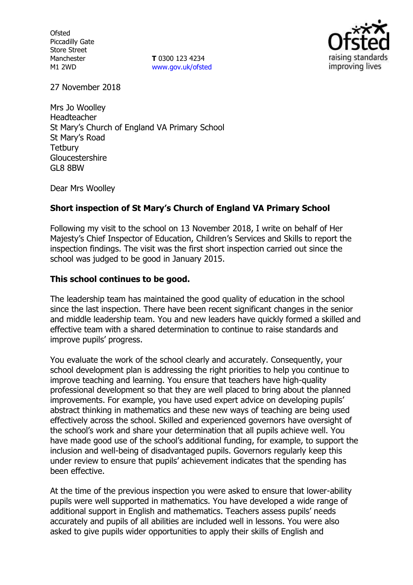**Ofsted** Piccadilly Gate Store Street Manchester M1 2WD

**T** 0300 123 4234 www.gov.uk/ofsted



27 November 2018

Mrs Jo Woolley Headteacher St Mary's Church of England VA Primary School St Mary's Road **Tetbury** Gloucestershire GL8 8BW

Dear Mrs Woolley

### **Short inspection of St Mary's Church of England VA Primary School**

Following my visit to the school on 13 November 2018, I write on behalf of Her Majesty's Chief Inspector of Education, Children's Services and Skills to report the inspection findings. The visit was the first short inspection carried out since the school was judged to be good in January 2015.

### **This school continues to be good.**

The leadership team has maintained the good quality of education in the school since the last inspection. There have been recent significant changes in the senior and middle leadership team. You and new leaders have quickly formed a skilled and effective team with a shared determination to continue to raise standards and improve pupils' progress.

You evaluate the work of the school clearly and accurately. Consequently, your school development plan is addressing the right priorities to help you continue to improve teaching and learning. You ensure that teachers have high-quality professional development so that they are well placed to bring about the planned improvements. For example, you have used expert advice on developing pupils' abstract thinking in mathematics and these new ways of teaching are being used effectively across the school. Skilled and experienced governors have oversight of the school's work and share your determination that all pupils achieve well. You have made good use of the school's additional funding, for example, to support the inclusion and well-being of disadvantaged pupils. Governors regularly keep this under review to ensure that pupils' achievement indicates that the spending has been effective.

At the time of the previous inspection you were asked to ensure that lower-ability pupils were well supported in mathematics. You have developed a wide range of additional support in English and mathematics. Teachers assess pupils' needs accurately and pupils of all abilities are included well in lessons. You were also asked to give pupils wider opportunities to apply their skills of English and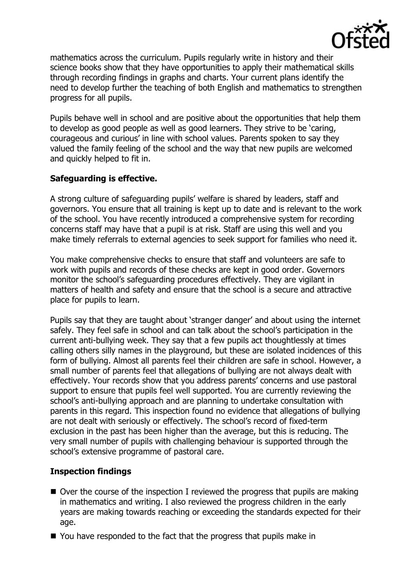

mathematics across the curriculum. Pupils regularly write in history and their science books show that they have opportunities to apply their mathematical skills through recording findings in graphs and charts. Your current plans identify the need to develop further the teaching of both English and mathematics to strengthen progress for all pupils.

Pupils behave well in school and are positive about the opportunities that help them to develop as good people as well as good learners. They strive to be 'caring, courageous and curious' in line with school values. Parents spoken to say they valued the family feeling of the school and the way that new pupils are welcomed and quickly helped to fit in.

# **Safeguarding is effective.**

A strong culture of safeguarding pupils' welfare is shared by leaders, staff and governors. You ensure that all training is kept up to date and is relevant to the work of the school. You have recently introduced a comprehensive system for recording concerns staff may have that a pupil is at risk. Staff are using this well and you make timely referrals to external agencies to seek support for families who need it.

You make comprehensive checks to ensure that staff and volunteers are safe to work with pupils and records of these checks are kept in good order. Governors monitor the school's safeguarding procedures effectively. They are vigilant in matters of health and safety and ensure that the school is a secure and attractive place for pupils to learn.

Pupils say that they are taught about 'stranger danger' and about using the internet safely. They feel safe in school and can talk about the school's participation in the current anti-bullying week. They say that a few pupils act thoughtlessly at times calling others silly names in the playground, but these are isolated incidences of this form of bullying. Almost all parents feel their children are safe in school. However, a small number of parents feel that allegations of bullying are not always dealt with effectively. Your records show that you address parents' concerns and use pastoral support to ensure that pupils feel well supported. You are currently reviewing the school's anti-bullying approach and are planning to undertake consultation with parents in this regard. This inspection found no evidence that allegations of bullying are not dealt with seriously or effectively. The school's record of fixed-term exclusion in the past has been higher than the average, but this is reducing. The very small number of pupils with challenging behaviour is supported through the school's extensive programme of pastoral care.

## **Inspection findings**

- Over the course of the inspection I reviewed the progress that pupils are making in mathematics and writing. I also reviewed the progress children in the early years are making towards reaching or exceeding the standards expected for their age.
- You have responded to the fact that the progress that pupils make in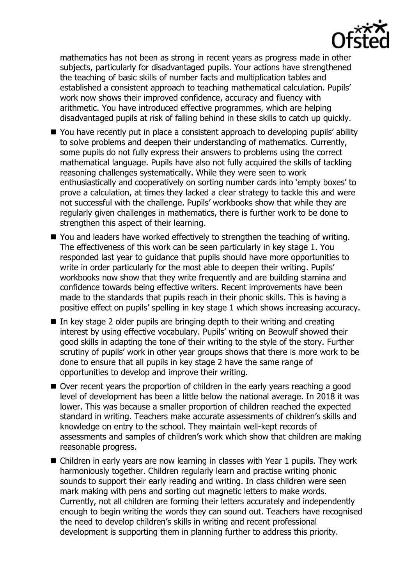

mathematics has not been as strong in recent years as progress made in other subjects, particularly for disadvantaged pupils. Your actions have strengthened the teaching of basic skills of number facts and multiplication tables and established a consistent approach to teaching mathematical calculation. Pupils' work now shows their improved confidence, accuracy and fluency with arithmetic. You have introduced effective programmes, which are helping disadvantaged pupils at risk of falling behind in these skills to catch up quickly.

- You have recently put in place a consistent approach to developing pupils' ability to solve problems and deepen their understanding of mathematics. Currently, some pupils do not fully express their answers to problems using the correct mathematical language. Pupils have also not fully acquired the skills of tackling reasoning challenges systematically. While they were seen to work enthusiastically and cooperatively on sorting number cards into 'empty boxes' to prove a calculation, at times they lacked a clear strategy to tackle this and were not successful with the challenge. Pupils' workbooks show that while they are regularly given challenges in mathematics, there is further work to be done to strengthen this aspect of their learning.
- You and leaders have worked effectively to strengthen the teaching of writing. The effectiveness of this work can be seen particularly in key stage 1. You responded last year to guidance that pupils should have more opportunities to write in order particularly for the most able to deepen their writing. Pupils' workbooks now show that they write frequently and are building stamina and confidence towards being effective writers. Recent improvements have been made to the standards that pupils reach in their phonic skills. This is having a positive effect on pupils' spelling in key stage 1 which shows increasing accuracy.
- $\blacksquare$  In key stage 2 older pupils are bringing depth to their writing and creating interest by using effective vocabulary. Pupils' writing on Beowulf showed their good skills in adapting the tone of their writing to the style of the story. Further scrutiny of pupils' work in other year groups shows that there is more work to be done to ensure that all pupils in key stage 2 have the same range of opportunities to develop and improve their writing.
- Over recent years the proportion of children in the early years reaching a good level of development has been a little below the national average. In 2018 it was lower. This was because a smaller proportion of children reached the expected standard in writing. Teachers make accurate assessments of children's skills and knowledge on entry to the school. They maintain well-kept records of assessments and samples of children's work which show that children are making reasonable progress.
- Children in early years are now learning in classes with Year 1 pupils. They work harmoniously together. Children regularly learn and practise writing phonic sounds to support their early reading and writing. In class children were seen mark making with pens and sorting out magnetic letters to make words. Currently, not all children are forming their letters accurately and independently enough to begin writing the words they can sound out. Teachers have recognised the need to develop children's skills in writing and recent professional development is supporting them in planning further to address this priority.